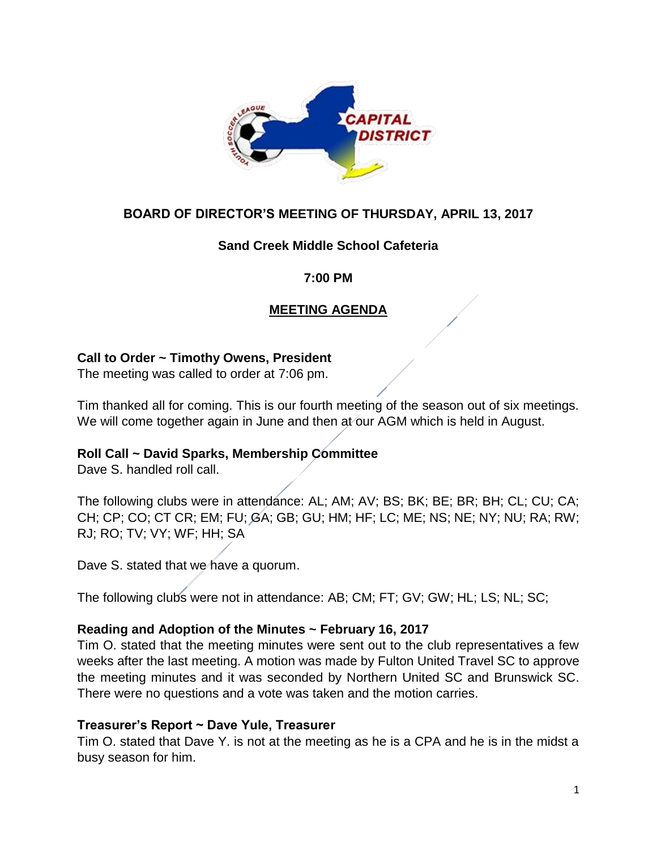

# **BOARD OF DIRECTOR'S MEETING OF THURSDAY, APRIL 13, 2017**

# **Sand Creek Middle School Cafeteria**

#### **7:00 PM**

# **MEETING AGENDA**

# **Call to Order ~ Timothy Owens, President**

The meeting was called to order at 7:06 pm.

Tim thanked all for coming. This is our fourth meeting of the season out of six meetings. We will come together again in June and then at our AGM which is held in August.

# **Roll Call ~ David Sparks, Membership Committee**

Dave S. handled roll call.

The following clubs were in attendance: AL; AM; AV; BS; BK; BE; BR; BH; CL; CU; CA; CH; CP; CO; CT CR; EM; FU; GA; GB; GU; HM; HF; LC; ME; NS; NE; NY; NU; RA; RW; RJ; RO; TV; VY; WF; HH; SA

Dave S. stated that we have a quorum.

The following clubs were not in attendance: AB; CM; FT; GV; GW; HL; LS; NL; SC;

# **Reading and Adoption of the Minutes ~ February 16, 2017**

Tim O. stated that the meeting minutes were sent out to the club representatives a few weeks after the last meeting. A motion was made by Fulton United Travel SC to approve the meeting minutes and it was seconded by Northern United SC and Brunswick SC. There were no questions and a vote was taken and the motion carries.

#### **Treasurer's Report ~ Dave Yule, Treasurer**

Tim O. stated that Dave Y. is not at the meeting as he is a CPA and he is in the midst a busy season for him.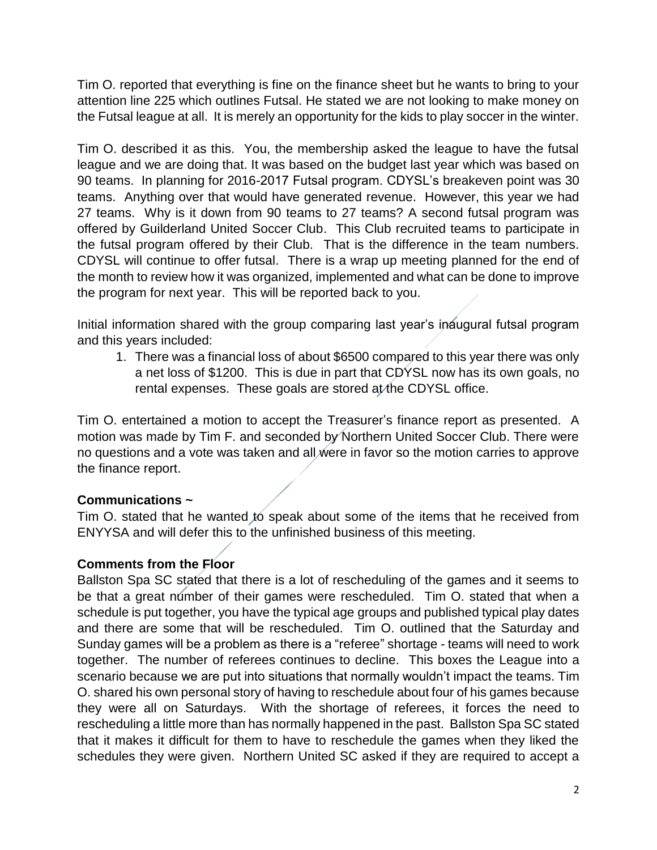Tim O. reported that everything is fine on the finance sheet but he wants to bring to your attention line 225 which outlines Futsal. He stated we are not looking to make money on the Futsal league at all. It is merely an opportunity for the kids to play soccer in the winter.

Tim O. described it as this. You, the membership asked the league to have the futsal league and we are doing that. It was based on the budget last year which was based on 90 teams. In planning for 2016-2017 Futsal program. CDYSL's breakeven point was 30 teams. Anything over that would have generated revenue. However, this year we had 27 teams. Why is it down from 90 teams to 27 teams? A second futsal program was offered by Guilderland United Soccer Club. This Club recruited teams to participate in the futsal program offered by their Club. That is the difference in the team numbers. CDYSL will continue to offer futsal. There is a wrap up meeting planned for the end of the month to review how it was organized, implemented and what can be done to improve the program for next year. This will be reported back to you.

Initial information shared with the group comparing last year's inaugural futsal program and this years included:

1. There was a financial loss of about \$6500 compared to this year there was only a net loss of \$1200. This is due in part that CDYSL now has its own goals, no rental expenses. These goals are stored at the CDYSL office.

Tim O. entertained a motion to accept the Treasurer's finance report as presented. A motion was made by Tim F. and seconded by Northern United Soccer Club. There were no questions and a vote was taken and all were in favor so the motion carries to approve the finance report.

# **Communications ~**

Tim O. stated that he wanted to speak about some of the items that he received from ENYYSA and will defer this to the unfinished business of this meeting.

# **Comments from the Floor**

Ballston Spa SC stated that there is a lot of rescheduling of the games and it seems to be that a great number of their games were rescheduled. Tim O. stated that when a schedule is put together, you have the typical age groups and published typical play dates and there are some that will be rescheduled. Tim O. outlined that the Saturday and Sunday games will be a problem as there is a "referee" shortage - teams will need to work together. The number of referees continues to decline. This boxes the League into a scenario because we are put into situations that normally wouldn't impact the teams. Tim O. shared his own personal story of having to reschedule about four of his games because they were all on Saturdays. With the shortage of referees, it forces the need to rescheduling a little more than has normally happened in the past. Ballston Spa SC stated that it makes it difficult for them to have to reschedule the games when they liked the schedules they were given. Northern United SC asked if they are required to accept a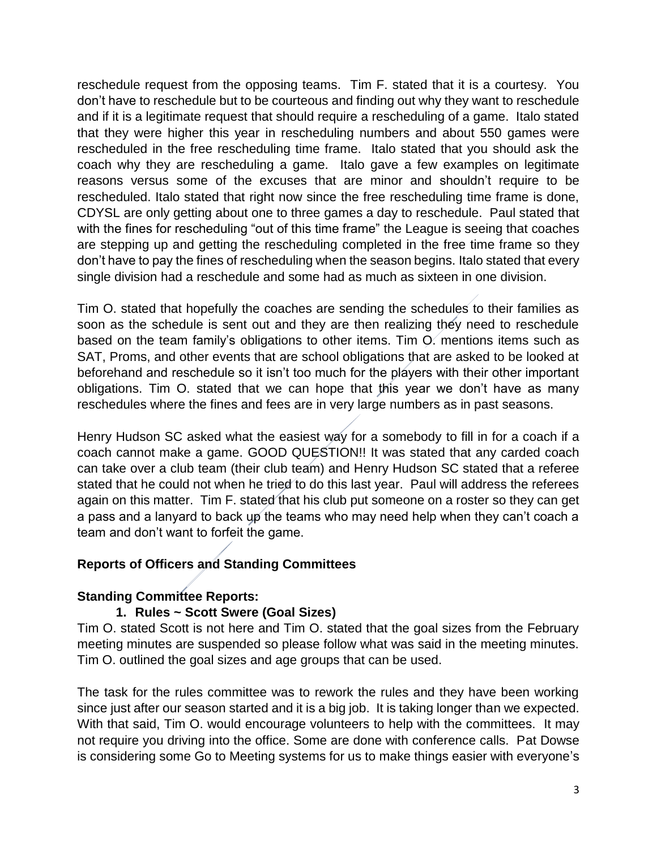reschedule request from the opposing teams. Tim F. stated that it is a courtesy. You don't have to reschedule but to be courteous and finding out why they want to reschedule and if it is a legitimate request that should require a rescheduling of a game. Italo stated that they were higher this year in rescheduling numbers and about 550 games were rescheduled in the free rescheduling time frame. Italo stated that you should ask the coach why they are rescheduling a game. Italo gave a few examples on legitimate reasons versus some of the excuses that are minor and shouldn't require to be rescheduled. Italo stated that right now since the free rescheduling time frame is done, CDYSL are only getting about one to three games a day to reschedule. Paul stated that with the fines for rescheduling "out of this time frame" the League is seeing that coaches are stepping up and getting the rescheduling completed in the free time frame so they don't have to pay the fines of rescheduling when the season begins. Italo stated that every single division had a reschedule and some had as much as sixteen in one division.

Tim O. stated that hopefully the coaches are sending the schedules to their families as soon as the schedule is sent out and they are then realizing they need to reschedule based on the team family's obligations to other items. Tim O. mentions items such as SAT, Proms, and other events that are school obligations that are asked to be looked at beforehand and reschedule so it isn't too much for the players with their other important obligations. Tim O. stated that we can hope that this year we don't have as many reschedules where the fines and fees are in very large numbers as in past seasons.

Henry Hudson SC asked what the easiest way for a somebody to fill in for a coach if a coach cannot make a game. GOOD QUESTION!! It was stated that any carded coach can take over a club team (their club team) and Henry Hudson SC stated that a referee stated that he could not when he tried to do this last year. Paul will address the referees again on this matter. Tim F. stated that his club put someone on a roster so they can get a pass and a lanyard to back up the teams who may need help when they can't coach a team and don't want to forfeit the game.

# **Reports of Officers and Standing Committees**

# **Standing Committee Reports:**

# **1. Rules ~ Scott Swere (Goal Sizes)**

Tim O. stated Scott is not here and Tim O. stated that the goal sizes from the February meeting minutes are suspended so please follow what was said in the meeting minutes. Tim O. outlined the goal sizes and age groups that can be used.

The task for the rules committee was to rework the rules and they have been working since just after our season started and it is a big job. It is taking longer than we expected. With that said, Tim O. would encourage volunteers to help with the committees. It may not require you driving into the office. Some are done with conference calls. Pat Dowse is considering some Go to Meeting systems for us to make things easier with everyone's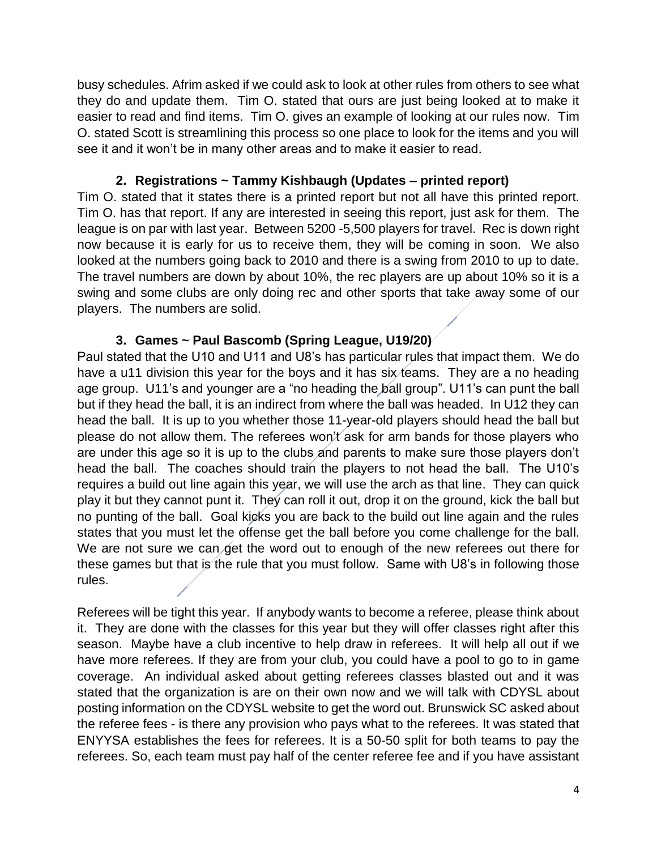busy schedules. Afrim asked if we could ask to look at other rules from others to see what they do and update them. Tim O. stated that ours are just being looked at to make it easier to read and find items. Tim O. gives an example of looking at our rules now. Tim O. stated Scott is streamlining this process so one place to look for the items and you will see it and it won't be in many other areas and to make it easier to read.

# **2. Registrations ~ Tammy Kishbaugh (Updates – printed report)**

Tim O. stated that it states there is a printed report but not all have this printed report. Tim O. has that report. If any are interested in seeing this report, just ask for them. The league is on par with last year. Between 5200 -5,500 players for travel. Rec is down right now because it is early for us to receive them, they will be coming in soon. We also looked at the numbers going back to 2010 and there is a swing from 2010 to up to date. The travel numbers are down by about 10%, the rec players are up about 10% so it is a swing and some clubs are only doing rec and other sports that take away some of our players. The numbers are solid.

# **3. Games ~ Paul Bascomb (Spring League, U19/20)**

Paul stated that the U10 and U11 and U8's has particular rules that impact them. We do have a u11 division this year for the boys and it has six teams. They are a no heading age group. U11's and younger are a "no heading the ball group". U11's can punt the ball but if they head the ball, it is an indirect from where the ball was headed. In U12 they can head the ball. It is up to you whether those 11-year-old players should head the ball but please do not allow them. The referees won't ask for arm bands for those players who are under this age so it is up to the clubs and parents to make sure those players don't head the ball. The coaches should train the players to not head the ball. The U10's requires a build out line again this year, we will use the arch as that line. They can quick play it but they cannot punt it. They can roll it out, drop it on the ground, kick the ball but no punting of the ball. Goal kicks you are back to the build out line again and the rules states that you must let the offense get the ball before you come challenge for the ball. We are not sure we can get the word out to enough of the new referees out there for these games but that is the rule that you must follow. Same with U8's in following those rules.

Referees will be tight this year. If anybody wants to become a referee, please think about it. They are done with the classes for this year but they will offer classes right after this season. Maybe have a club incentive to help draw in referees. It will help all out if we have more referees. If they are from your club, you could have a pool to go to in game coverage. An individual asked about getting referees classes blasted out and it was stated that the organization is are on their own now and we will talk with CDYSL about posting information on the CDYSL website to get the word out. Brunswick SC asked about the referee fees - is there any provision who pays what to the referees. It was stated that ENYYSA establishes the fees for referees. It is a 50-50 split for both teams to pay the referees. So, each team must pay half of the center referee fee and if you have assistant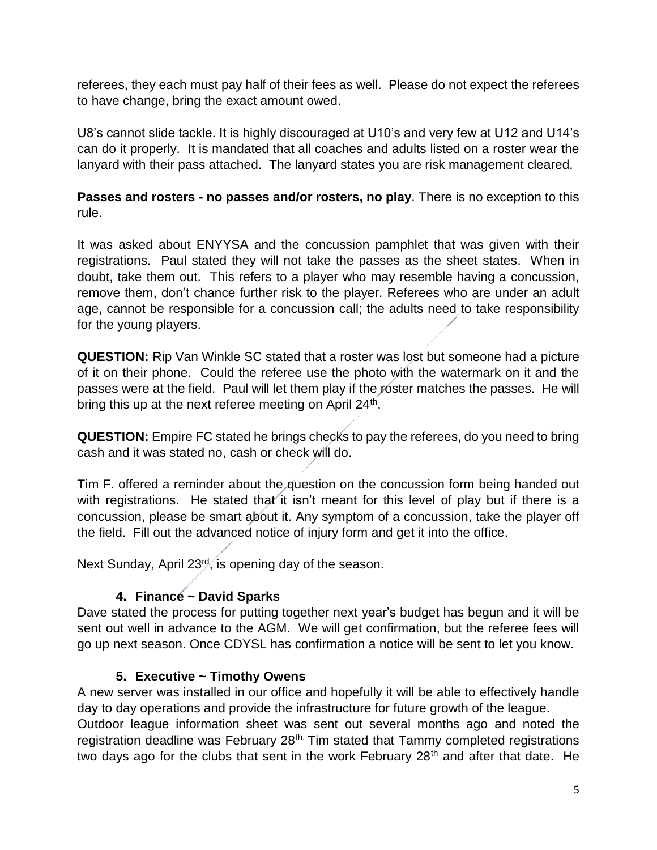referees, they each must pay half of their fees as well. Please do not expect the referees to have change, bring the exact amount owed.

U8's cannot slide tackle. It is highly discouraged at U10's and very few at U12 and U14's can do it properly. It is mandated that all coaches and adults listed on a roster wear the lanyard with their pass attached. The lanyard states you are risk management cleared.

**Passes and rosters - no passes and/or rosters, no play**. There is no exception to this rule.

It was asked about ENYYSA and the concussion pamphlet that was given with their registrations. Paul stated they will not take the passes as the sheet states. When in doubt, take them out. This refers to a player who may resemble having a concussion, remove them, don't chance further risk to the player. Referees who are under an adult age, cannot be responsible for a concussion call; the adults need to take responsibility for the young players.

**QUESTION:** Rip Van Winkle SC stated that a roster was lost but someone had a picture of it on their phone. Could the referee use the photo with the watermark on it and the passes were at the field. Paul will let them play if the roster matches the passes. He will bring this up at the next referee meeting on April 24<sup>th</sup>.

**QUESTION:** Empire FC stated he brings checks to pay the referees, do you need to bring cash and it was stated no, cash or check will do.

Tim F. offered a reminder about the question on the concussion form being handed out with registrations. He stated that it isn't meant for this level of play but if there is a concussion, please be smart about it. Any symptom of a concussion, take the player off the field. Fill out the advanced notice of injury form and get it into the office.

Next Sunday, April 23<sup>rd</sup>, is opening day of the season.

# **4. Finance ~ David Sparks**

Dave stated the process for putting together next year's budget has begun and it will be sent out well in advance to the AGM. We will get confirmation, but the referee fees will go up next season. Once CDYSL has confirmation a notice will be sent to let you know.

# **5. Executive ~ Timothy Owens**

A new server was installed in our office and hopefully it will be able to effectively handle day to day operations and provide the infrastructure for future growth of the league. Outdoor league information sheet was sent out several months ago and noted the registration deadline was February 28<sup>th.</sup> Tim stated that Tammy completed registrations two days ago for the clubs that sent in the work February  $28<sup>th</sup>$  and after that date. He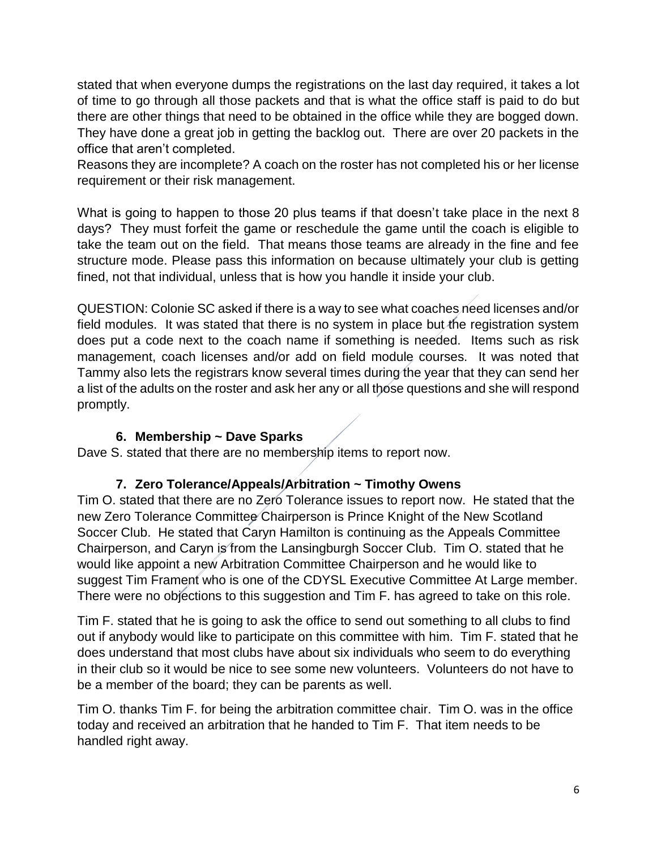stated that when everyone dumps the registrations on the last day required, it takes a lot of time to go through all those packets and that is what the office staff is paid to do but there are other things that need to be obtained in the office while they are bogged down. They have done a great job in getting the backlog out. There are over 20 packets in the office that aren't completed.

Reasons they are incomplete? A coach on the roster has not completed his or her license requirement or their risk management.

What is going to happen to those 20 plus teams if that doesn't take place in the next 8 days? They must forfeit the game or reschedule the game until the coach is eligible to take the team out on the field. That means those teams are already in the fine and fee structure mode. Please pass this information on because ultimately your club is getting fined, not that individual, unless that is how you handle it inside your club.

QUESTION: Colonie SC asked if there is a way to see what coaches need licenses and/or field modules. It was stated that there is no system in place but the registration system does put a code next to the coach name if something is needed. Items such as risk management, coach licenses and/or add on field module courses. It was noted that Tammy also lets the registrars know several times during the year that they can send her a list of the adults on the roster and ask her any or all those questions and she will respond promptly.

# **6. Membership ~ Dave Sparks**

Dave S. stated that there are no membership items to report now.

# **7. Zero Tolerance/Appeals/Arbitration ~ Timothy Owens**

Tim O. stated that there are no Zero Tolerance issues to report now. He stated that the new Zero Tolerance Committee Chairperson is Prince Knight of the New Scotland Soccer Club. He stated that Caryn Hamilton is continuing as the Appeals Committee Chairperson, and Caryn is from the Lansingburgh Soccer Club. Tim O. stated that he would like appoint a new Arbitration Committee Chairperson and he would like to suggest Tim Frament who is one of the CDYSL Executive Committee At Large member. There were no objections to this suggestion and Tim F. has agreed to take on this role.

Tim F. stated that he is going to ask the office to send out something to all clubs to find out if anybody would like to participate on this committee with him. Tim F. stated that he does understand that most clubs have about six individuals who seem to do everything in their club so it would be nice to see some new volunteers. Volunteers do not have to be a member of the board; they can be parents as well.

Tim O. thanks Tim F. for being the arbitration committee chair. Tim O. was in the office today and received an arbitration that he handed to Tim F. That item needs to be handled right away.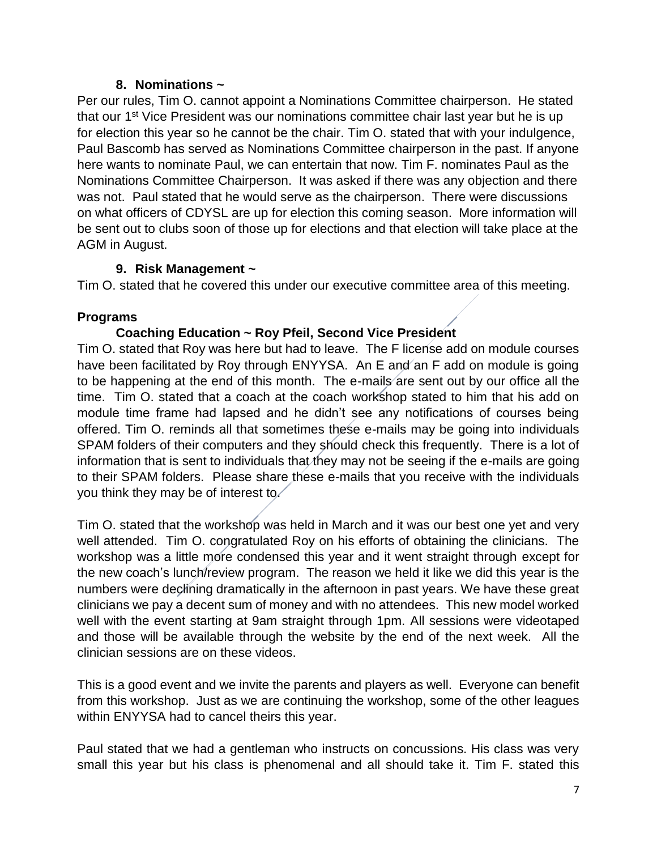#### **8. Nominations ~**

Per our rules, Tim O. cannot appoint a Nominations Committee chairperson. He stated that our 1<sup>st</sup> Vice President was our nominations committee chair last year but he is up for election this year so he cannot be the chair. Tim O. stated that with your indulgence, Paul Bascomb has served as Nominations Committee chairperson in the past. If anyone here wants to nominate Paul, we can entertain that now. Tim F. nominates Paul as the Nominations Committee Chairperson. It was asked if there was any objection and there was not. Paul stated that he would serve as the chairperson. There were discussions on what officers of CDYSL are up for election this coming season. More information will be sent out to clubs soon of those up for elections and that election will take place at the AGM in August.

# **9. Risk Management ~**

Tim O. stated that he covered this under our executive committee area of this meeting.

# **Programs**

# **Coaching Education ~ Roy Pfeil, Second Vice President**

Tim O. stated that Roy was here but had to leave. The F license add on module courses have been facilitated by Roy through ENYYSA. An E and an F add on module is going to be happening at the end of this month. The e-mails are sent out by our office all the time. Tim O. stated that a coach at the coach workshop stated to him that his add on module time frame had lapsed and he didn't see any notifications of courses being offered. Tim O. reminds all that sometimes these e-mails may be going into individuals SPAM folders of their computers and they should check this frequently. There is a lot of information that is sent to individuals that they may not be seeing if the e-mails are going to their SPAM folders. Please share these e-mails that you receive with the individuals you think they may be of interest to.

Tim O. stated that the workshop was held in March and it was our best one yet and very well attended. Tim O. congratulated Roy on his efforts of obtaining the clinicians. The workshop was a little more condensed this year and it went straight through except for the new coach's lunch/review program. The reason we held it like we did this year is the numbers were declining dramatically in the afternoon in past years. We have these great clinicians we pay a decent sum of money and with no attendees. This new model worked well with the event starting at 9am straight through 1pm. All sessions were videotaped and those will be available through the website by the end of the next week. All the clinician sessions are on these videos.

This is a good event and we invite the parents and players as well. Everyone can benefit from this workshop. Just as we are continuing the workshop, some of the other leagues within ENYYSA had to cancel theirs this year.

Paul stated that we had a gentleman who instructs on concussions. His class was very small this year but his class is phenomenal and all should take it. Tim F. stated this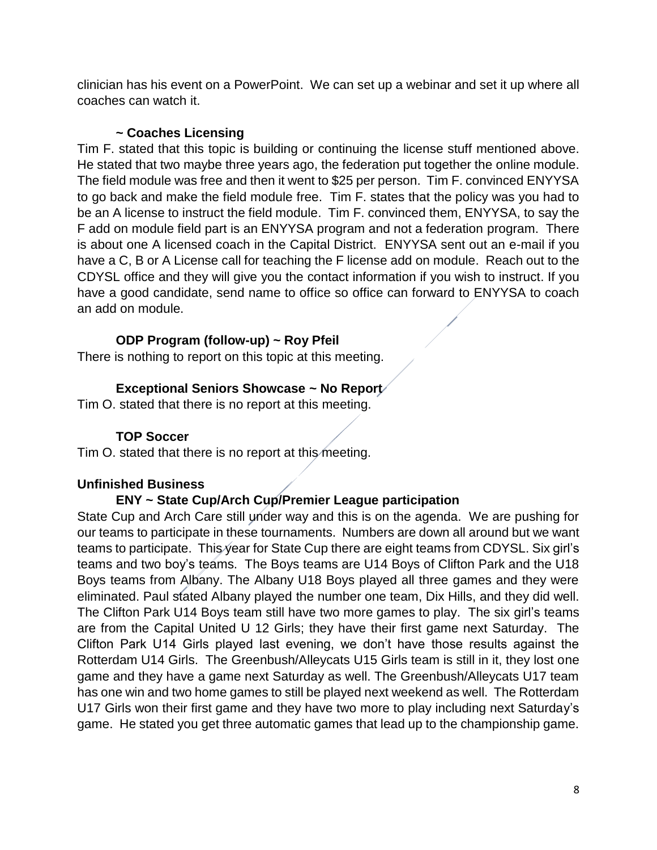clinician has his event on a PowerPoint. We can set up a webinar and set it up where all coaches can watch it.

# **~ Coaches Licensing**

Tim F. stated that this topic is building or continuing the license stuff mentioned above. He stated that two maybe three years ago, the federation put together the online module. The field module was free and then it went to \$25 per person. Tim F. convinced ENYYSA to go back and make the field module free. Tim F. states that the policy was you had to be an A license to instruct the field module. Tim F. convinced them, ENYYSA, to say the F add on module field part is an ENYYSA program and not a federation program. There is about one A licensed coach in the Capital District. ENYYSA sent out an e-mail if you have a C, B or A License call for teaching the F license add on module. Reach out to the CDYSL office and they will give you the contact information if you wish to instruct. If you have a good candidate, send name to office so office can forward to ENYYSA to coach an add on module.

# **ODP Program (follow-up) ~ Roy Pfeil**

There is nothing to report on this topic at this meeting.

# **Exceptional Seniors Showcase ~ No Report**

Tim O. stated that there is no report at this meeting.

# **TOP Soccer**

Tim O. stated that there is no report at this meeting.

# **Unfinished Business**

# **ENY ~ State Cup/Arch Cup/Premier League participation**

State Cup and Arch Care still under way and this is on the agenda. We are pushing for our teams to participate in these tournaments. Numbers are down all around but we want teams to participate. This year for State Cup there are eight teams from CDYSL. Six girl's teams and two boy's teams. The Boys teams are U14 Boys of Clifton Park and the U18 Boys teams from Albany. The Albany U18 Boys played all three games and they were eliminated. Paul stated Albany played the number one team, Dix Hills, and they did well. The Clifton Park U14 Boys team still have two more games to play. The six girl's teams are from the Capital United U 12 Girls; they have their first game next Saturday. The Clifton Park U14 Girls played last evening, we don't have those results against the Rotterdam U14 Girls. The Greenbush/Alleycats U15 Girls team is still in it, they lost one game and they have a game next Saturday as well. The Greenbush/Alleycats U17 team has one win and two home games to still be played next weekend as well. The Rotterdam U17 Girls won their first game and they have two more to play including next Saturday's game. He stated you get three automatic games that lead up to the championship game.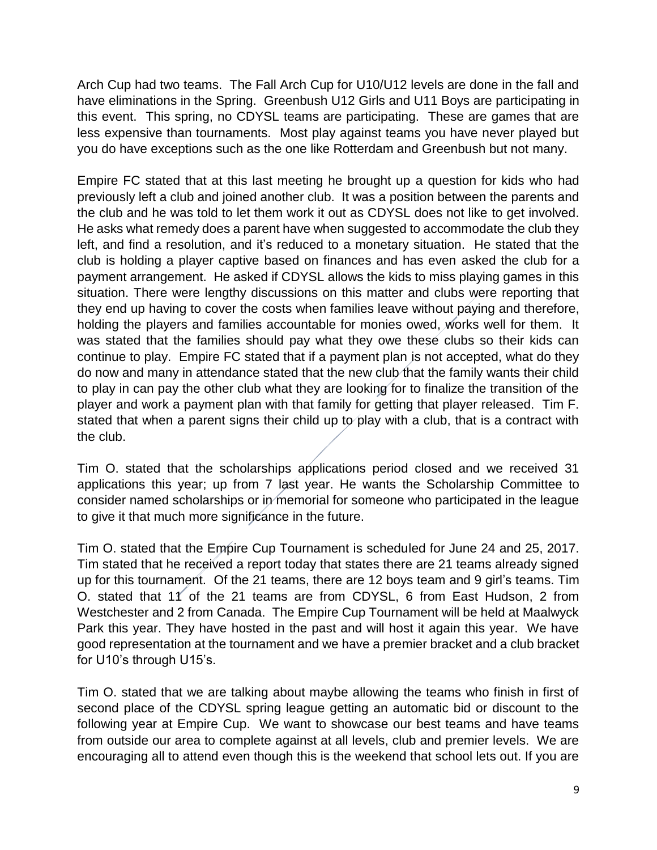Arch Cup had two teams. The Fall Arch Cup for U10/U12 levels are done in the fall and have eliminations in the Spring. Greenbush U12 Girls and U11 Boys are participating in this event. This spring, no CDYSL teams are participating. These are games that are less expensive than tournaments. Most play against teams you have never played but you do have exceptions such as the one like Rotterdam and Greenbush but not many.

Empire FC stated that at this last meeting he brought up a question for kids who had previously left a club and joined another club. It was a position between the parents and the club and he was told to let them work it out as CDYSL does not like to get involved. He asks what remedy does a parent have when suggested to accommodate the club they left, and find a resolution, and it's reduced to a monetary situation. He stated that the club is holding a player captive based on finances and has even asked the club for a payment arrangement. He asked if CDYSL allows the kids to miss playing games in this situation. There were lengthy discussions on this matter and clubs were reporting that they end up having to cover the costs when families leave without paying and therefore, holding the players and families accountable for monies owed, works well for them. It was stated that the families should pay what they owe these clubs so their kids can continue to play. Empire FC stated that if a payment plan is not accepted, what do they do now and many in attendance stated that the new club that the family wants their child to play in can pay the other club what they are looking for to finalize the transition of the player and work a payment plan with that family for getting that player released. Tim F. stated that when a parent signs their child up to play with a club, that is a contract with the club.

Tim O. stated that the scholarships applications period closed and we received 31 applications this year; up from 7 last year. He wants the Scholarship Committee to consider named scholarships or in memorial for someone who participated in the league to give it that much more significance in the future.

Tim O. stated that the Empire Cup Tournament is scheduled for June 24 and 25, 2017. Tim stated that he received a report today that states there are 21 teams already signed up for this tournament. Of the 21 teams, there are 12 boys team and 9 girl's teams. Tim O. stated that 11 of the 21 teams are from CDYSL, 6 from East Hudson, 2 from Westchester and 2 from Canada. The Empire Cup Tournament will be held at Maalwyck Park this year. They have hosted in the past and will host it again this year. We have good representation at the tournament and we have a premier bracket and a club bracket for U10's through U15's.

Tim O. stated that we are talking about maybe allowing the teams who finish in first of second place of the CDYSL spring league getting an automatic bid or discount to the following year at Empire Cup. We want to showcase our best teams and have teams from outside our area to complete against at all levels, club and premier levels. We are encouraging all to attend even though this is the weekend that school lets out. If you are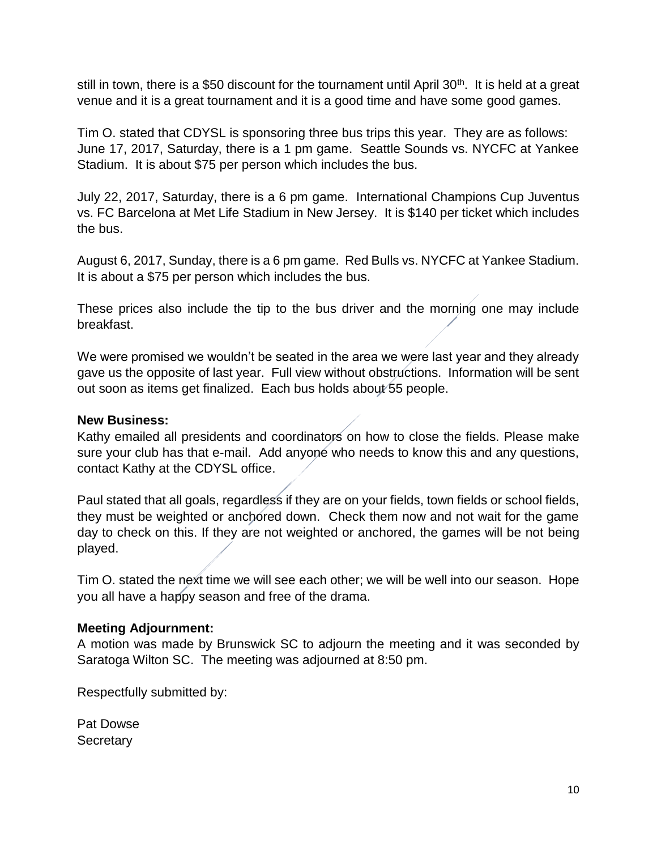still in town, there is a \$50 discount for the tournament until April 30<sup>th</sup>. It is held at a great venue and it is a great tournament and it is a good time and have some good games.

Tim O. stated that CDYSL is sponsoring three bus trips this year. They are as follows: June 17, 2017, Saturday, there is a 1 pm game. Seattle Sounds vs. NYCFC at Yankee Stadium. It is about \$75 per person which includes the bus.

July 22, 2017, Saturday, there is a 6 pm game. International Champions Cup Juventus vs. FC Barcelona at Met Life Stadium in New Jersey. It is \$140 per ticket which includes the bus.

August 6, 2017, Sunday, there is a 6 pm game. Red Bulls vs. NYCFC at Yankee Stadium. It is about a \$75 per person which includes the bus.

These prices also include the tip to the bus driver and the morning one may include breakfast.

We were promised we wouldn't be seated in the area we were last year and they already gave us the opposite of last year. Full view without obstructions. Information will be sent out soon as items get finalized. Each bus holds about 55 people.

#### **New Business:**

Kathy emailed all presidents and coordinators on how to close the fields. Please make sure your club has that e-mail. Add anyone who needs to know this and any questions, contact Kathy at the CDYSL office.

Paul stated that all goals, regardless if they are on your fields, town fields or school fields, they must be weighted or anchored down. Check them now and not wait for the game day to check on this. If they are not weighted or anchored, the games will be not being played.

Tim O. stated the next time we will see each other; we will be well into our season. Hope you all have a happy season and free of the drama.

#### **Meeting Adjournment:**

A motion was made by Brunswick SC to adjourn the meeting and it was seconded by Saratoga Wilton SC. The meeting was adjourned at 8:50 pm.

Respectfully submitted by:

Pat Dowse **Secretary**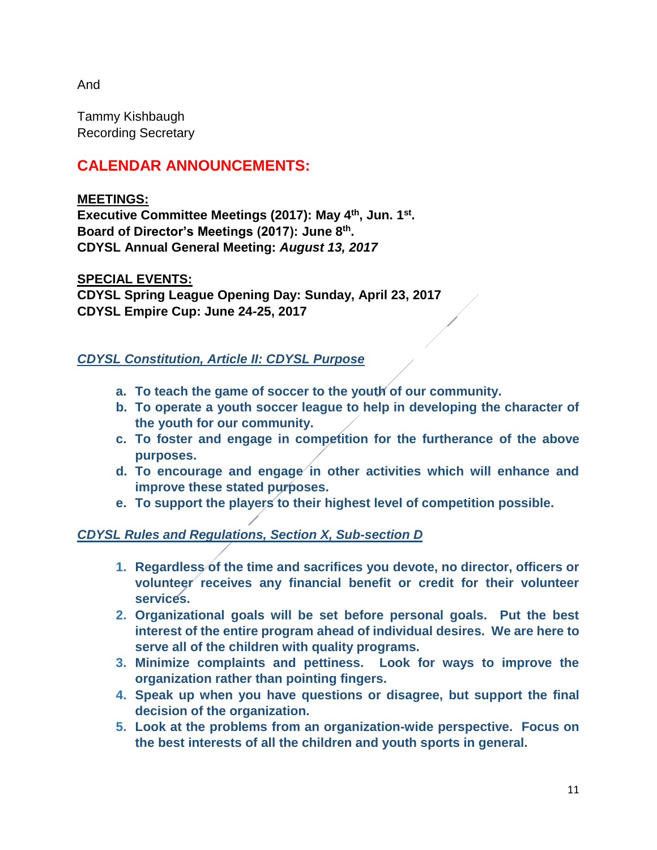And

Tammy Kishbaugh Recording Secretary

# **CALENDAR ANNOUNCEMENTS:**

# **MEETINGS:**

**Executive Committee Meetings (2017): May 4th, Jun. 1st . Board of Director's Meetings (2017): June 8 th . CDYSL Annual General Meeting:** *August 13, 2017*

# **SPECIAL EVENTS:**

**CDYSL Spring League Opening Day: Sunday, April 23, 2017 CDYSL Empire Cup: June 24-25, 2017**

# *CDYSL Constitution, Article II: CDYSL Purpose*

- **a. To teach the game of soccer to the youth of our community.**
- **b. To operate a youth soccer league to help in developing the character of the youth for our community.**
- **c. To foster and engage in competition for the furtherance of the above purposes.**
- **d. To encourage and engage in other activities which will enhance and improve these stated purposes.**
- **e. To support the players to their highest level of competition possible.**

# *CDYSL Rules and Regulations, Section X, Sub-section D*

- **1. Regardless of the time and sacrifices you devote, no director, officers or volunteer receives any financial benefit or credit for their volunteer services.**
- **2. Organizational goals will be set before personal goals. Put the best interest of the entire program ahead of individual desires. We are here to serve all of the children with quality programs.**
- **3. Minimize complaints and pettiness. Look for ways to improve the organization rather than pointing fingers.**
- **4. Speak up when you have questions or disagree, but support the final decision of the organization.**
- **5. Look at the problems from an organization-wide perspective. Focus on the best interests of all the children and youth sports in general.**